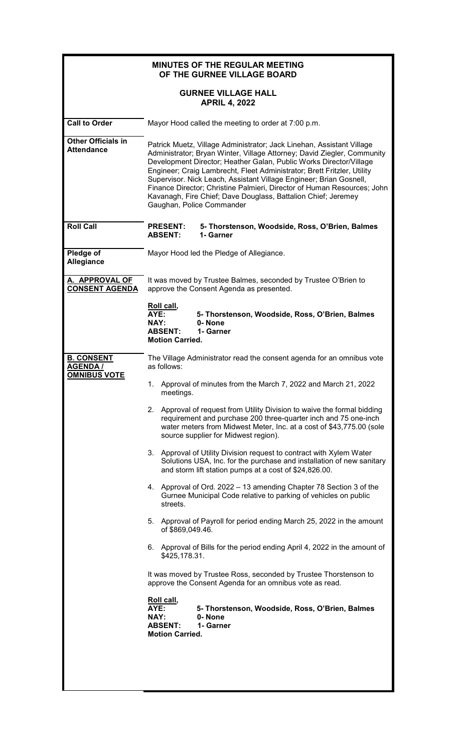|                                                             | <b>MINUTES OF THE REGULAR MEETING</b><br>OF THE GURNEE VILLAGE BOARD                                                                                                                                                                                                                                                                                                                                                                                                                                                                             |
|-------------------------------------------------------------|--------------------------------------------------------------------------------------------------------------------------------------------------------------------------------------------------------------------------------------------------------------------------------------------------------------------------------------------------------------------------------------------------------------------------------------------------------------------------------------------------------------------------------------------------|
|                                                             | <b>GURNEE VILLAGE HALL</b><br><b>APRIL 4, 2022</b>                                                                                                                                                                                                                                                                                                                                                                                                                                                                                               |
| <b>Call to Order</b>                                        | Mayor Hood called the meeting to order at 7:00 p.m.                                                                                                                                                                                                                                                                                                                                                                                                                                                                                              |
| <b>Other Officials in</b><br><b>Attendance</b>              | Patrick Muetz, Village Administrator; Jack Linehan, Assistant Village<br>Administrator; Bryan Winter, Village Attorney; David Ziegler, Community<br>Development Director; Heather Galan, Public Works Director/Village<br>Engineer; Craig Lambrecht, Fleet Administrator; Brett Fritzler, Utility<br>Supervisor. Nick Leach, Assistant Village Engineer; Brian Gosnell,<br>Finance Director; Christine Palmieri, Director of Human Resources; John<br>Kavanagh, Fire Chief; Dave Douglass, Battalion Chief; Jeremey<br>Gaughan, Police Commander |
| <b>Roll Call</b>                                            | <b>PRESENT:</b><br>5- Thorstenson, Woodside, Ross, O'Brien, Balmes<br><b>ABSENT:</b><br>1- Garner                                                                                                                                                                                                                                                                                                                                                                                                                                                |
| Pledge of<br><b>Allegiance</b>                              | Mayor Hood led the Pledge of Allegiance.                                                                                                                                                                                                                                                                                                                                                                                                                                                                                                         |
| A. APPROVAL OF<br><b>CONSENT AGENDA</b>                     | It was moved by Trustee Balmes, seconded by Trustee O'Brien to<br>approve the Consent Agenda as presented.                                                                                                                                                                                                                                                                                                                                                                                                                                       |
|                                                             | Roll call,<br>AYE:<br>5- Thorstenson, Woodside, Ross, O'Brien, Balmes<br>0-None<br>NAY:<br><b>ABSENT:</b><br>1- Garner<br><b>Motion Carried.</b>                                                                                                                                                                                                                                                                                                                                                                                                 |
| <b>B. CONSENT</b><br><b>AGENDA /</b><br><b>OMNIBUS VOTE</b> | The Village Administrator read the consent agenda for an omnibus vote<br>as follows:                                                                                                                                                                                                                                                                                                                                                                                                                                                             |
|                                                             | Approval of minutes from the March 7, 2022 and March 21, 2022<br>1.<br>meetings.                                                                                                                                                                                                                                                                                                                                                                                                                                                                 |
|                                                             | Approval of request from Utility Division to waive the formal bidding<br>2.<br>requirement and purchase 200 three-quarter inch and 75 one-inch<br>water meters from Midwest Meter, Inc. at a cost of \$43,775.00 (sole<br>source supplier for Midwest region).                                                                                                                                                                                                                                                                                   |
|                                                             | 3. Approval of Utility Division request to contract with Xylem Water<br>Solutions USA, Inc. for the purchase and installation of new sanitary<br>and storm lift station pumps at a cost of \$24,826.00.                                                                                                                                                                                                                                                                                                                                          |
|                                                             | 4. Approval of Ord. 2022 – 13 amending Chapter 78 Section 3 of the<br>Gurnee Municipal Code relative to parking of vehicles on public<br>streets.                                                                                                                                                                                                                                                                                                                                                                                                |
|                                                             | 5.<br>Approval of Payroll for period ending March 25, 2022 in the amount<br>of \$869,049.46.                                                                                                                                                                                                                                                                                                                                                                                                                                                     |
|                                                             | Approval of Bills for the period ending April 4, 2022 in the amount of<br>6.<br>\$425,178.31.                                                                                                                                                                                                                                                                                                                                                                                                                                                    |
|                                                             | It was moved by Trustee Ross, seconded by Trustee Thorstenson to<br>approve the Consent Agenda for an omnibus vote as read.                                                                                                                                                                                                                                                                                                                                                                                                                      |
|                                                             | Roll call,<br>AYE:<br>5- Thorstenson, Woodside, Ross, O'Brien, Balmes<br>NAY:<br>0-None<br><b>ABSENT:</b><br>1- Garner<br><b>Motion Carried.</b>                                                                                                                                                                                                                                                                                                                                                                                                 |
|                                                             |                                                                                                                                                                                                                                                                                                                                                                                                                                                                                                                                                  |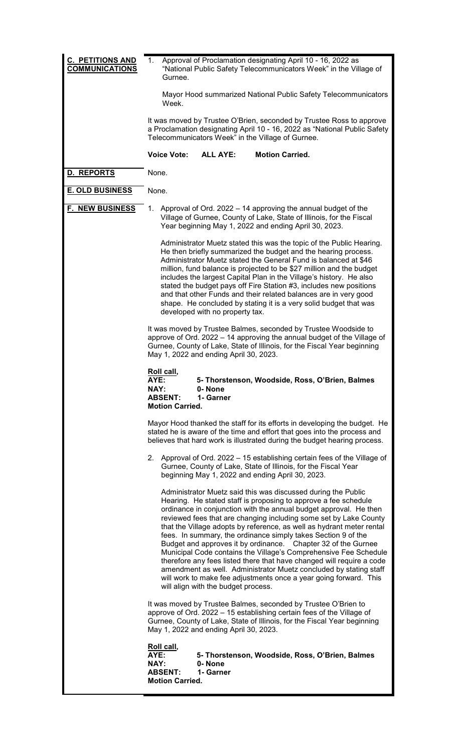| <b>C. PETITIONS AND</b><br><b>COMMUNICATIONS</b> | 1.<br>Approval of Proclamation designating April 10 - 16, 2022 as<br>"National Public Safety Telecommunicators Week" in the Village of<br>Gurnee.                                                                                                                                                                                                                                                                                                                                                                                                                                                                                                                                                                                                                                                                   |
|--------------------------------------------------|---------------------------------------------------------------------------------------------------------------------------------------------------------------------------------------------------------------------------------------------------------------------------------------------------------------------------------------------------------------------------------------------------------------------------------------------------------------------------------------------------------------------------------------------------------------------------------------------------------------------------------------------------------------------------------------------------------------------------------------------------------------------------------------------------------------------|
|                                                  | Mayor Hood summarized National Public Safety Telecommunicators<br>Week.                                                                                                                                                                                                                                                                                                                                                                                                                                                                                                                                                                                                                                                                                                                                             |
|                                                  | It was moved by Trustee O'Brien, seconded by Trustee Ross to approve<br>a Proclamation designating April 10 - 16, 2022 as "National Public Safety<br>Telecommunicators Week" in the Village of Gurnee.                                                                                                                                                                                                                                                                                                                                                                                                                                                                                                                                                                                                              |
|                                                  | <b>Voice Vote:</b><br><b>ALL AYE:</b><br><b>Motion Carried.</b>                                                                                                                                                                                                                                                                                                                                                                                                                                                                                                                                                                                                                                                                                                                                                     |
| D. REPORTS                                       | None.                                                                                                                                                                                                                                                                                                                                                                                                                                                                                                                                                                                                                                                                                                                                                                                                               |
| <b>E. OLD BUSINESS</b>                           | None.                                                                                                                                                                                                                                                                                                                                                                                                                                                                                                                                                                                                                                                                                                                                                                                                               |
| <b>F. NEW BUSINESS</b>                           | Approval of Ord. 2022 - 14 approving the annual budget of the<br>1.<br>Village of Gurnee, County of Lake, State of Illinois, for the Fiscal<br>Year beginning May 1, 2022 and ending April 30, 2023.                                                                                                                                                                                                                                                                                                                                                                                                                                                                                                                                                                                                                |
|                                                  | Administrator Muetz stated this was the topic of the Public Hearing.<br>He then briefly summarized the budget and the hearing process.<br>Administrator Muetz stated the General Fund is balanced at \$46<br>million, fund balance is projected to be \$27 million and the budget<br>includes the largest Capital Plan in the Village's history. He also<br>stated the budget pays off Fire Station #3, includes new positions<br>and that other Funds and their related balances are in very good<br>shape. He concluded by stating it is a very solid budget that was<br>developed with no property tax.                                                                                                                                                                                                          |
|                                                  | It was moved by Trustee Balmes, seconded by Trustee Woodside to<br>approve of Ord. 2022 - 14 approving the annual budget of the Village of<br>Gurnee, County of Lake, State of Illinois, for the Fiscal Year beginning<br>May 1, 2022 and ending April 30, 2023.                                                                                                                                                                                                                                                                                                                                                                                                                                                                                                                                                    |
|                                                  | <u>Roll call,</u><br>AYE:<br>5- Thorstenson, Woodside, Ross, O'Brien, Balmes<br>NAY:<br>0-None<br><b>ABSENT:</b><br>1- Garner<br><b>Motion Carried.</b>                                                                                                                                                                                                                                                                                                                                                                                                                                                                                                                                                                                                                                                             |
|                                                  | Mayor Hood thanked the staff for its efforts in developing the budget. He<br>stated he is aware of the time and effort that goes into the process and<br>believes that hard work is illustrated during the budget hearing process.                                                                                                                                                                                                                                                                                                                                                                                                                                                                                                                                                                                  |
|                                                  | Approval of Ord. 2022 – 15 establishing certain fees of the Village of<br>2.<br>Gurnee, County of Lake, State of Illinois, for the Fiscal Year<br>beginning May 1, 2022 and ending April 30, 2023.                                                                                                                                                                                                                                                                                                                                                                                                                                                                                                                                                                                                                  |
|                                                  | Administrator Muetz said this was discussed during the Public<br>Hearing. He stated staff is proposing to approve a fee schedule<br>ordinance in conjunction with the annual budget approval. He then<br>reviewed fees that are changing including some set by Lake County<br>that the Village adopts by reference, as well as hydrant meter rental<br>fees. In summary, the ordinance simply takes Section 9 of the<br>Budget and approves it by ordinance. Chapter 32 of the Gurnee<br>Municipal Code contains the Village's Comprehensive Fee Schedule<br>therefore any fees listed there that have changed will require a code<br>amendment as well. Administrator Muetz concluded by stating staff<br>will work to make fee adjustments once a year going forward. This<br>will align with the budget process. |
|                                                  | It was moved by Trustee Balmes, seconded by Trustee O'Brien to<br>approve of Ord. 2022 - 15 establishing certain fees of the Village of<br>Gurnee, County of Lake, State of Illinois, for the Fiscal Year beginning<br>May 1, 2022 and ending April 30, 2023.                                                                                                                                                                                                                                                                                                                                                                                                                                                                                                                                                       |
|                                                  | Roll call,<br>AYE:<br>5- Thorstenson, Woodside, Ross, O'Brien, Balmes<br>NAY:<br>0-None<br><b>ABSENT:</b><br>1- Garner<br><b>Motion Carried.</b>                                                                                                                                                                                                                                                                                                                                                                                                                                                                                                                                                                                                                                                                    |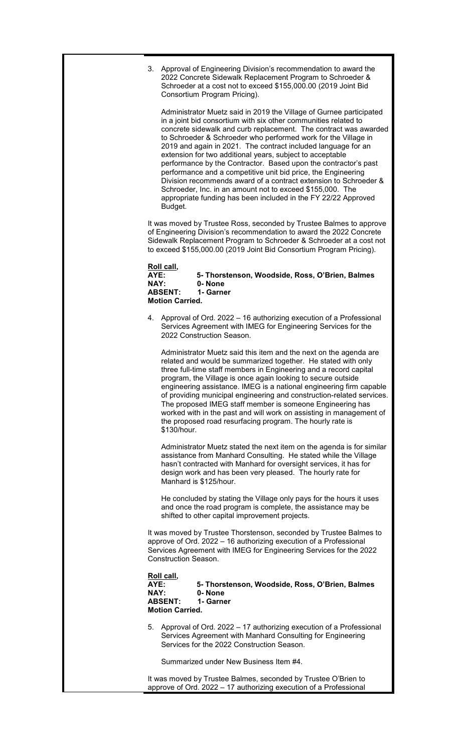3. Approval of Engineering Division's recommendation to award the 2022 Concrete Sidewalk Replacement Program to Schroeder & Schroeder at a cost not to exceed \$155,000.00 (2019 Joint Bid Consortium Program Pricing).

Administrator Muetz said in 2019 the Village of Gurnee participated in a joint bid consortium with six other communities related to concrete sidewalk and curb replacement. The contract was awarded to Schroeder & Schroeder who performed work for the Village in 2019 and again in 2021. The contract included language for an extension for two additional years, subject to acceptable performance by the Contractor. Based upon the contractor's past performance and a competitive unit bid price, the Engineering Division recommends award of a contract extension to Schroeder & Schroeder, Inc. in an amount not to exceed \$155,000. The appropriate funding has been included in the FY 22/22 Approved Budget.

It was moved by Trustee Ross, seconded by Trustee Balmes to approve of Engineering Division's recommendation to award the 2022 Concrete Sidewalk Replacement Program to Schroeder & Schroeder at a cost not to exceed \$155,000.00 (2019 Joint Bid Consortium Program Pricing).

**Roll call, AYE: 5- Thorstenson, Woodside, Ross, O'Brien, Balmes**  0- None<br>1- Garner **ABSENT: 1- Garner Motion Carried.**

4. Approval of Ord. 2022 – 16 authorizing execution of a Professional Services Agreement with IMEG for Engineering Services for the 2022 Construction Season.

Administrator Muetz said this item and the next on the agenda are related and would be summarized together. He stated with only three full-time staff members in Engineering and a record capital program, the Village is once again looking to secure outside engineering assistance. IMEG is a national engineering firm capable of providing municipal engineering and construction-related services. The proposed IMEG staff member is someone Engineering has worked with in the past and will work on assisting in management of the proposed road resurfacing program. The hourly rate is \$130/hour.

Administrator Muetz stated the next item on the agenda is for similar assistance from Manhard Consulting. He stated while the Village hasn't contracted with Manhard for oversight services, it has for design work and has been very pleased. The hourly rate for Manhard is \$125/hour.

He concluded by stating the Village only pays for the hours it uses and once the road program is complete, the assistance may be shifted to other capital improvement projects.

It was moved by Trustee Thorstenson, seconded by Trustee Balmes to approve of Ord. 2022 – 16 authorizing execution of a Professional Services Agreement with IMEG for Engineering Services for the 2022 Construction Season.

**Roll call,**

**AYE: 5- Thorstenson, Woodside, Ross, O'Brien, Balmes**  0- None<br>1- Garner **ABSENT: 1- Garner Motion Carried.**

5. Approval of Ord. 2022 – 17 authorizing execution of a Professional Services Agreement with Manhard Consulting for Engineering Services for the 2022 Construction Season.

Summarized under New Business Item #4.

It was moved by Trustee Balmes, seconded by Trustee O'Brien to approve of Ord. 2022 – 17 authorizing execution of a Professional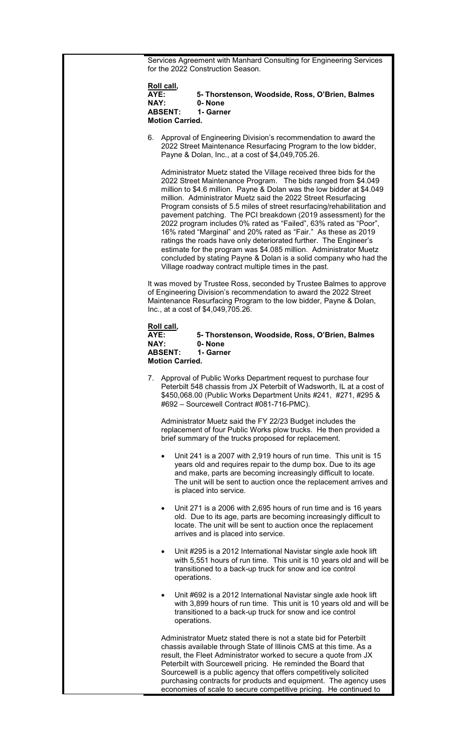Services Agreement with Manhard Consulting for Engineering Services for the 2022 Construction Season.

| Roll call,             |                                                 |
|------------------------|-------------------------------------------------|
| AYE:                   | 5- Thorstenson, Woodside, Ross, O'Brien, Balmes |
| NAY:                   | 0-None                                          |
| <b>ABSENT:</b>         | 1- Garner                                       |
| <b>Motion Carried.</b> |                                                 |

6. Approval of Engineering Division's recommendation to award the 2022 Street Maintenance Resurfacing Program to the low bidder, Payne & Dolan, Inc., at a cost of \$4,049,705.26.

Administrator Muetz stated the Village received three bids for the 2022 Street Maintenance Program. The bids ranged from \$4.049 million to \$4.6 million. Payne & Dolan was the low bidder at \$4.049 million. Administrator Muetz said the 2022 Street Resurfacing Program consists of 5.5 miles of street resurfacing/rehabilitation and pavement patching. The PCI breakdown (2019 assessment) for the 2022 program includes 0% rated as "Failed", 63% rated as "Poor", 16% rated "Marginal" and 20% rated as "Fair." As these as 2019 ratings the roads have only deteriorated further. The Engineer's estimate for the program was \$4.085 million. Administrator Muetz concluded by stating Payne & Dolan is a solid company who had the Village roadway contract multiple times in the past.

It was moved by Trustee Ross, seconded by Trustee Balmes to approve of Engineering Division's recommendation to award the 2022 Street Maintenance Resurfacing Program to the low bidder, Payne & Dolan, Inc., at a cost of \$4,049,705.26.

| Roll call,             |                                                 |
|------------------------|-------------------------------------------------|
| AYE:                   | 5- Thorstenson, Woodside, Ross, O'Brien, Balmes |
| NAY:                   | 0-None                                          |
| <b>ABSENT:</b>         | 1- Garner                                       |
| <b>Motion Carried.</b> |                                                 |

7. Approval of Public Works Department request to purchase four Peterbilt 548 chassis from JX Peterbilt of Wadsworth, IL at a cost of \$450,068.00 (Public Works Department Units #241, #271, #295 & #692 – Sourcewell Contract #081-716-PMC).

Administrator Muetz said the FY 22/23 Budget includes the replacement of four Public Works plow trucks. He then provided a brief summary of the trucks proposed for replacement.

- Unit 241 is a 2007 with 2,919 hours of run time. This unit is 15 years old and requires repair to the dump box. Due to its age and make, parts are becoming increasingly difficult to locate. The unit will be sent to auction once the replacement arrives and is placed into service.
- Unit 271 is a 2006 with 2,695 hours of run time and is 16 years old. Due to its age, parts are becoming increasingly difficult to locate. The unit will be sent to auction once the replacement arrives and is placed into service.
- Unit #295 is a 2012 International Navistar single axle hook lift with 5,551 hours of run time. This unit is 10 years old and will be transitioned to a back-up truck for snow and ice control operations.
- Unit #692 is a 2012 International Navistar single axle hook lift with 3,899 hours of run time. This unit is 10 years old and will be transitioned to a back-up truck for snow and ice control operations.

Administrator Muetz stated there is not a state bid for Peterbilt chassis available through State of Illinois CMS at this time. As a result, the Fleet Administrator worked to secure a quote from JX Peterbilt with Sourcewell pricing. He reminded the Board that Sourcewell is a public agency that offers competitively solicited purchasing contracts for products and equipment. The agency uses economies of scale to secure competitive pricing. He continued to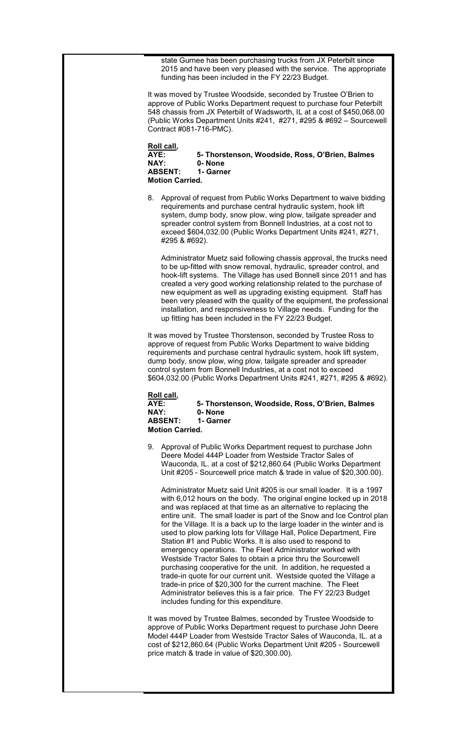state Gurnee has been purchasing trucks from JX Peterbilt since 2015 and have been very pleased with the service. The appropriate funding has been included in the FY 22/23 Budget.

It was moved by Trustee Woodside, seconded by Trustee O'Brien to approve of Public Works Department request to purchase four Peterbilt 548 chassis from JX Peterbilt of Wadsworth, IL at a cost of \$450,068.00 (Public Works Department Units #241, #271, #295 & #692 – Sourcewell Contract #081-716-PMC).

| Roll call,             |                                                 |
|------------------------|-------------------------------------------------|
| AYE:                   | 5- Thorstenson, Woodside, Ross, O'Brien, Balmes |
| <b>NAY:</b>            | 0-None                                          |
| <b>ABSENT:</b>         | 1- Garner                                       |
| <b>Motion Carried.</b> |                                                 |

8. Approval of request from Public Works Department to waive bidding requirements and purchase central hydraulic system, hook lift system, dump body, snow plow, wing plow, tailgate spreader and spreader control system from Bonnell Industries, at a cost not to exceed \$604,032.00 (Public Works Department Units #241, #271, #295 & #692).

Administrator Muetz said following chassis approval, the trucks need to be up-fitted with snow removal, hydraulic, spreader control, and hook-lift systems. The Village has used Bonnell since 2011 and has created a very good working relationship related to the purchase of new equipment as well as upgrading existing equipment. Staff has been very pleased with the quality of the equipment, the professional installation, and responsiveness to Village needs. Funding for the up fitting has been included in the FY 22/23 Budget.

It was moved by Trustee Thorstenson, seconded by Trustee Ross to approve of request from Public Works Department to waive bidding requirements and purchase central hydraulic system, hook lift system, dump body, snow plow, wing plow, tailgate spreader and spreader control system from Bonnell Industries, at a cost not to exceed \$604,032.00 (Public Works Department Units #241, #271, #295 & #692).

| Roll call,             |                                                 |
|------------------------|-------------------------------------------------|
| AYE:                   | 5- Thorstenson, Woodside, Ross, O'Brien, Balmes |
| NAY:                   | 0-None                                          |
| <b>ABSENT:</b>         | 1- Garner                                       |
| <b>Motion Carried.</b> |                                                 |

9. Approval of Public Works Department request to purchase John Deere Model 444P Loader from Westside Tractor Sales of Wauconda, IL. at a cost of \$212,860.64 (Public Works Department Unit #205 - Sourcewell price match & trade in value of \$20,300.00).

Administrator Muetz said Unit #205 is our small loader. It is a 1997 with 6,012 hours on the body. The original engine locked up in 2018 and was replaced at that time as an alternative to replacing the entire unit. The small loader is part of the Snow and Ice Control plan for the Village. It is a back up to the large loader in the winter and is used to plow parking lots for Village Hall, Police Department, Fire Station #1 and Public Works. It is also used to respond to emergency operations. The Fleet Administrator worked with Westside Tractor Sales to obtain a price thru the Sourcewell purchasing cooperative for the unit. In addition, he requested a trade-in quote for our current unit. Westside quoted the Village a trade-in price of \$20,300 for the current machine. The Fleet Administrator believes this is a fair price. The FY 22/23 Budget includes funding for this expenditure.

It was moved by Trustee Balmes, seconded by Trustee Woodside to approve of Public Works Department request to purchase John Deere Model 444P Loader from Westside Tractor Sales of Wauconda, IL. at a cost of \$212,860.64 (Public Works Department Unit #205 - Sourcewell price match & trade in value of \$20,300.00).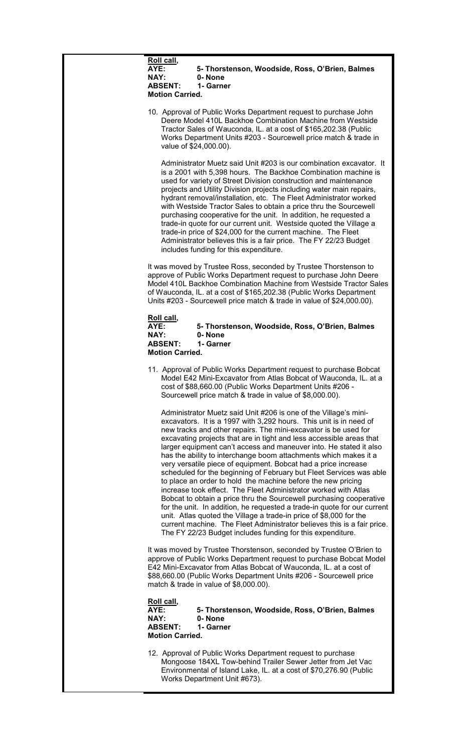| Roll call,                                                                                                                                                                                                                                                                                                                                                                                                                                                                                                                                                                                                                                                                                                                                                                                                                                                                                                                                                                                                                                                                |
|---------------------------------------------------------------------------------------------------------------------------------------------------------------------------------------------------------------------------------------------------------------------------------------------------------------------------------------------------------------------------------------------------------------------------------------------------------------------------------------------------------------------------------------------------------------------------------------------------------------------------------------------------------------------------------------------------------------------------------------------------------------------------------------------------------------------------------------------------------------------------------------------------------------------------------------------------------------------------------------------------------------------------------------------------------------------------|
| AYE:<br>5- Thorstenson, Woodside, Ross, O'Brien, Balmes                                                                                                                                                                                                                                                                                                                                                                                                                                                                                                                                                                                                                                                                                                                                                                                                                                                                                                                                                                                                                   |
| NAY:<br>0-None                                                                                                                                                                                                                                                                                                                                                                                                                                                                                                                                                                                                                                                                                                                                                                                                                                                                                                                                                                                                                                                            |
| <b>ABSENT:</b><br>1- Garner                                                                                                                                                                                                                                                                                                                                                                                                                                                                                                                                                                                                                                                                                                                                                                                                                                                                                                                                                                                                                                               |
| <b>Motion Carried.</b>                                                                                                                                                                                                                                                                                                                                                                                                                                                                                                                                                                                                                                                                                                                                                                                                                                                                                                                                                                                                                                                    |
| 10. Approval of Public Works Department request to purchase John<br>Deere Model 410L Backhoe Combination Machine from Westside<br>Tractor Sales of Wauconda, IL. at a cost of \$165,202.38 (Public<br>Works Department Units #203 - Sourcewell price match & trade in<br>value of \$24,000.00).                                                                                                                                                                                                                                                                                                                                                                                                                                                                                                                                                                                                                                                                                                                                                                           |
| Administrator Muetz said Unit #203 is our combination excavator. It<br>is a 2001 with 5,398 hours. The Backhoe Combination machine is<br>used for variety of Street Division construction and maintenance<br>projects and Utility Division projects including water main repairs,<br>hydrant removal/installation, etc. The Fleet Administrator worked<br>with Westside Tractor Sales to obtain a price thru the Sourcewell<br>purchasing cooperative for the unit. In addition, he requested a<br>trade-in quote for our current unit. Westside quoted the Village a<br>trade-in price of \$24,000 for the current machine. The Fleet<br>Administrator believes this is a fair price. The FY 22/23 Budget<br>includes funding for this expenditure.<br>It was moved by Trustee Ross, seconded by Trustee Thorstenson to<br>approve of Public Works Department request to purchase John Deere<br>Model 410L Backhoe Combination Machine from Westside Tractor Sales<br>of Wauconda, IL. at a cost of \$165,202.38 (Public Works Department                                |
| Units #203 - Sourcewell price match & trade in value of \$24,000.00).                                                                                                                                                                                                                                                                                                                                                                                                                                                                                                                                                                                                                                                                                                                                                                                                                                                                                                                                                                                                     |
| Roll call,<br>AYE:<br>5- Thorstenson, Woodside, Ross, O'Brien, Balmes<br>NAY:<br>0-None<br><b>ABSENT:</b><br>1- Garner                                                                                                                                                                                                                                                                                                                                                                                                                                                                                                                                                                                                                                                                                                                                                                                                                                                                                                                                                    |
| <b>Motion Carried.</b>                                                                                                                                                                                                                                                                                                                                                                                                                                                                                                                                                                                                                                                                                                                                                                                                                                                                                                                                                                                                                                                    |
| 11. Approval of Public Works Department request to purchase Bobcat<br>Model E42 Mini-Excavator from Atlas Bobcat of Wauconda, IL. at a<br>cost of \$88,660.00 (Public Works Department Units #206 -<br>Sourcewell price match & trade in value of \$8,000.00).                                                                                                                                                                                                                                                                                                                                                                                                                                                                                                                                                                                                                                                                                                                                                                                                            |
| Administrator Muetz said Unit #206 is one of the Village's mini-<br>excavators. It is a 1997 with 3,292 hours. This unit is in need of<br>new tracks and other repairs. The mini-excavator is be used for<br>excavating projects that are in tight and less accessible areas that<br>larger equipment can't access and maneuver into. He stated it also<br>has the ability to interchange boom attachments which makes it a<br>very versatile piece of equipment. Bobcat had a price increase<br>scheduled for the beginning of February but Fleet Services was able<br>to place an order to hold the machine before the new pricing<br>increase took effect. The Fleet Administrator worked with Atlas<br>Bobcat to obtain a price thru the Sourcewell purchasing cooperative<br>for the unit. In addition, he requested a trade-in quote for our current<br>unit. Atlas quoted the Village a trade-in price of \$8,000 for the<br>current machine. The Fleet Administrator believes this is a fair price.<br>The FY 22/23 Budget includes funding for this expenditure. |
| It was moved by Trustee Thorstenson, seconded by Trustee O'Brien to<br>approve of Public Works Department request to purchase Bobcat Model<br>E42 Mini-Excavator from Atlas Bobcat of Wauconda, IL. at a cost of<br>\$88,660.00 (Public Works Department Units #206 - Sourcewell price<br>match & trade in value of \$8,000.00).                                                                                                                                                                                                                                                                                                                                                                                                                                                                                                                                                                                                                                                                                                                                          |
| Roll call,<br>AYE:<br>5- Thorstenson, Woodside, Ross, O'Brien, Balmes<br>NAY:<br>0-None<br><b>ABSENT:</b><br>1- Garner<br><b>Motion Carried.</b>                                                                                                                                                                                                                                                                                                                                                                                                                                                                                                                                                                                                                                                                                                                                                                                                                                                                                                                          |
| 12. Approval of Public Works Department request to purchase<br>Mongoose 184XL Tow-behind Trailer Sewer Jetter from Jet Vac<br>Environmental of Island Lake, IL. at a cost of \$70,276.90 (Public<br>Works Department Unit #673).                                                                                                                                                                                                                                                                                                                                                                                                                                                                                                                                                                                                                                                                                                                                                                                                                                          |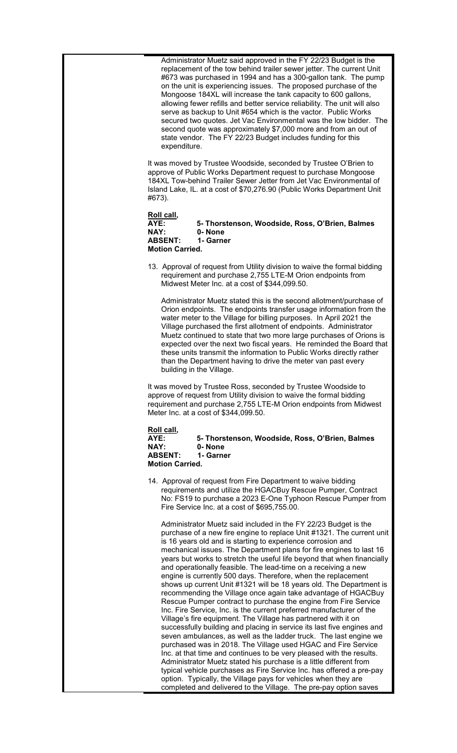Administrator Muetz said approved in the FY 22/23 Budget is the replacement of the tow behind trailer sewer jetter. The current Unit #673 was purchased in 1994 and has a 300-gallon tank. The pump on the unit is experiencing issues. The proposed purchase of the Mongoose 184XL will increase the tank capacity to 600 gallons, allowing fewer refills and better service reliability. The unit will also serve as backup to Unit #654 which is the vactor. Public Works secured two quotes. Jet Vac Environmental was the low bidder. The second quote was approximately \$7,000 more and from an out of state vendor. The FY 22/23 Budget includes funding for this expenditure.

It was moved by Trustee Woodside, seconded by Trustee O'Brien to approve of Public Works Department request to purchase Mongoose 184XL Tow-behind Trailer Sewer Jetter from Jet Vac Environmental of Island Lake, IL. at a cost of \$70,276.90 (Public Works Department Unit #673).

| <u>Roll call,</u>        |                                                 |
|--------------------------|-------------------------------------------------|
| AYE:                     | 5- Thorstenson, Woodside, Ross, O'Brien, Balmes |
| NAY:                     | 0-None                                          |
| <b>ABSENT: 1- Garner</b> |                                                 |
| <b>Motion Carried.</b>   |                                                 |

13. Approval of request from Utility division to waive the formal bidding requirement and purchase 2,755 LTE-M Orion endpoints from Midwest Meter Inc. at a cost of \$344,099.50.

Administrator Muetz stated this is the second allotment/purchase of Orion endpoints. The endpoints transfer usage information from the water meter to the Village for billing purposes. In April 2021 the Village purchased the first allotment of endpoints. Administrator Muetz continued to state that two more large purchases of Orions is expected over the next two fiscal years. He reminded the Board that these units transmit the information to Public Works directly rather than the Department having to drive the meter van past every building in the Village.

It was moved by Trustee Ross, seconded by Trustee Woodside to approve of request from Utility division to waive the formal bidding requirement and purchase 2,755 LTE-M Orion endpoints from Midwest Meter Inc. at a cost of \$344,099.50.

**Roll call, AYE: 5- Thorstenson, Woodside, Ross, O'Brien, Balmes NAY: 0- None ABSENT: 1- Garner Motion Carried.**

14. Approval of request from Fire Department to waive bidding requirements and utilize the HGACBuy Rescue Pumper, Contract No: FS19 to purchase a 2023 E-One Typhoon Rescue Pumper from Fire Service Inc. at a cost of \$695,755.00.

Administrator Muetz said included in the FY 22/23 Budget is the purchase of a new fire engine to replace Unit #1321. The current unit is 16 years old and is starting to experience corrosion and mechanical issues. The Department plans for fire engines to last 16 years but works to stretch the useful life beyond that when financially and operationally feasible. The lead-time on a receiving a new engine is currently 500 days. Therefore, when the replacement shows up current Unit #1321 will be 18 years old. The Department is recommending the Village once again take advantage of HGACBuy Rescue Pumper contract to purchase the engine from Fire Service Inc. Fire Service, Inc. is the current preferred manufacturer of the Village's fire equipment. The Village has partnered with it on successfully building and placing in service its last five engines and seven ambulances, as well as the ladder truck. The last engine we purchased was in 2018. The Village used HGAC and Fire Service Inc. at that time and continues to be very pleased with the results. Administrator Muetz stated his purchase is a little different from typical vehicle purchases as Fire Service Inc. has offered a pre-pay option. Typically, the Village pays for vehicles when they are completed and delivered to the Village. The pre-pay option saves